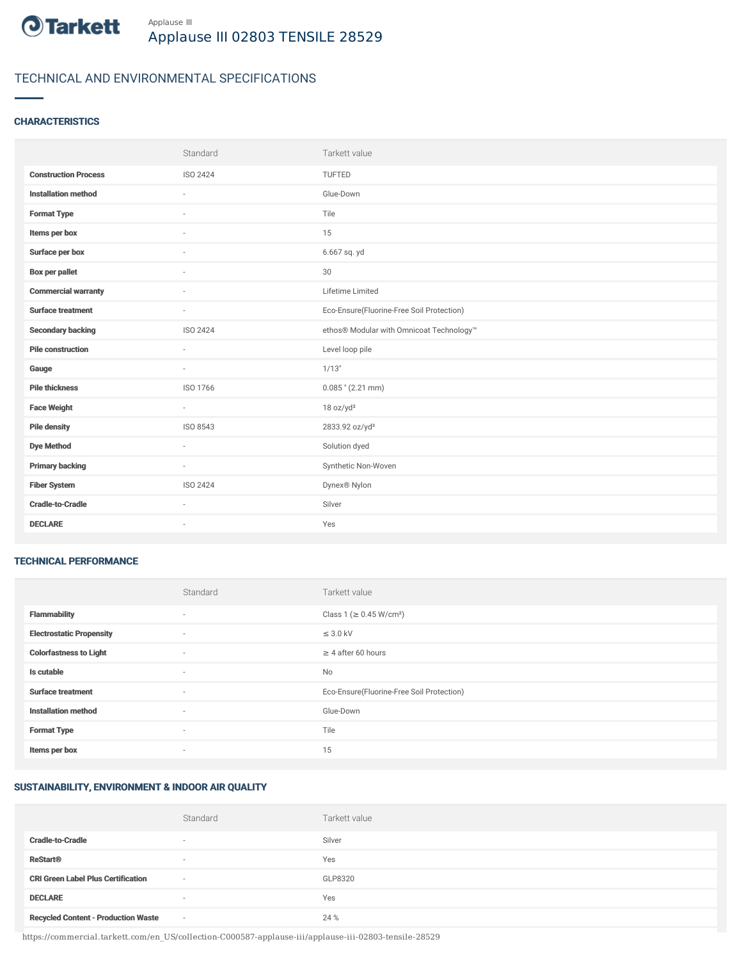

# TECHNICAL AND ENVIRONMENTAL SPECIFICATIONS

#### **CHARACTERISTICS**

|                             | Standard                 | Tarkett value                             |
|-----------------------------|--------------------------|-------------------------------------------|
| <b>Construction Process</b> | ISO 2424                 | TUFTED                                    |
| <b>Installation method</b>  | ÷                        | Glue-Down                                 |
| <b>Format Type</b>          | ٠                        | Tile                                      |
| Items per box               |                          | 15                                        |
| Surface per box             | ÷                        | 6.667 sq. yd                              |
| <b>Box per pallet</b>       | $\sim$                   | 30                                        |
| <b>Commercial warranty</b>  | $\sim$                   | Lifetime Limited                          |
| <b>Surface treatment</b>    | $\sim$                   | Eco-Ensure(Fluorine-Free Soil Protection) |
| <b>Secondary backing</b>    | ISO 2424                 | ethos® Modular with Omnicoat Technology™  |
| <b>Pile construction</b>    | ٠                        | Level loop pile                           |
| Gauge                       | ٠                        | 1/13"                                     |
| <b>Pile thickness</b>       | ISO 1766                 | $0.085$ " (2.21 mm)                       |
| <b>Face Weight</b>          | $\bar{a}$                | 18 oz/yd <sup>2</sup>                     |
| <b>Pile density</b>         | ISO 8543                 | 2833.92 oz/yd <sup>3</sup>                |
| <b>Dye Method</b>           | $\sim$                   | Solution dyed                             |
| <b>Primary backing</b>      | $\overline{\phantom{a}}$ | Synthetic Non-Woven                       |
| <b>Fiber System</b>         | ISO 2424                 | Dynex® Nylon                              |
| <b>Cradle-to-Cradle</b>     |                          | Silver                                    |
| <b>DECLARE</b>              | $\sim$                   | Yes                                       |

#### TECHNICAL PERFORMANCE

|                                 | Standard                 | Tarkett value                             |
|---------------------------------|--------------------------|-------------------------------------------|
| <b>Flammability</b>             | ٠                        | Class 1 (≥ 0.45 W/cm <sup>2</sup> )       |
| <b>Electrostatic Propensity</b> | $\sim$                   | $\leq$ 3.0 kV                             |
| <b>Colorfastness to Light</b>   | ٠                        | $\geq 4$ after 60 hours                   |
| Is cutable                      | ٠                        | No                                        |
| <b>Surface treatment</b>        | $\sim$                   | Eco-Ensure(Fluorine-Free Soil Protection) |
| <b>Installation method</b>      | ٠                        | Glue-Down                                 |
| <b>Format Type</b>              | ٠                        | Tile                                      |
| Items per box                   | $\overline{\phantom{a}}$ | 15                                        |

### SUSTAINABILITY, ENVIRONMENT & INDOOR AIR QUALITY

|                                            | Standard                 | Tarkett value |
|--------------------------------------------|--------------------------|---------------|
| <b>Cradle-to-Cradle</b>                    | $\overline{\phantom{a}}$ | Silver        |
| <b>ReStart®</b>                            | $\overline{\phantom{a}}$ | Yes           |
| <b>CRI Green Label Plus Certification</b>  | $\sim$                   | GLP8320       |
| <b>DECLARE</b>                             | $\sim$                   | Yes           |
| <b>Recycled Content - Production Waste</b> | $\sim$                   | 24 %          |

https://commercial.tarkett.com/en\_US/collection-C000587-applause-iii/applause-iii-02803-tensile-28529